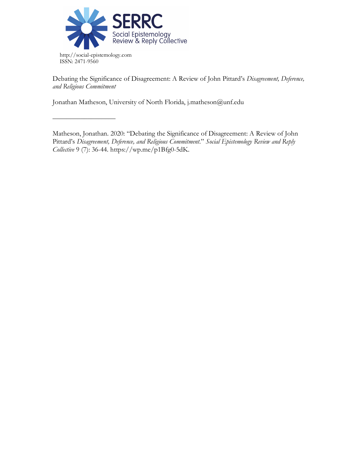

––––––––––––––––––

Debating the Significance of Disagreement: A Review of John Pittard's *Disagreement, Deference, and Religious Commitment*

Jonathan Matheson, University of North Florida, j.matheson@unf.edu

Matheson, Jonathan. 2020: "Debating the Significance of Disagreement: A Review of John Pittard's *Disagreement, Deference, and Religious Commitment*." *Social Epistemology Review and Reply Collective* 9 (7): 36-44. https://wp.me/p1Bfg0-5dK.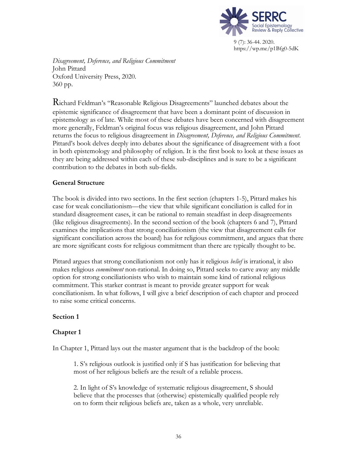

*Disagreement, Deference, and Religious Commitment* John Pittard Oxford University Press, 2020. 360 pp.

Richard Feldman's "Reasonable Religious Disagreements" launched debates about the epistemic significance of disagreement that have been a dominant point of discussion in epistemology as of late. While most of these debates have been concerned with disagreement more generally, Feldman's original focus was religious disagreement, and John Pittard returns the focus to religious disagreement in *Disagreement, Deference, and Religious Commitment*. Pittard's book delves deeply into debates about the significance of disagreement with a foot in both epistemology and philosophy of religion. It is the first book to look at these issues as they are being addressed within each of these sub-disciplines and is sure to be a significant contribution to the debates in both sub-fields.

## **General Structure**

The book is divided into two sections. In the first section (chapters 1-5), Pittard makes his case for weak conciliationism—the view that while significant conciliation is called for in standard disagreement cases, it can be rational to remain steadfast in deep disagreements (like religious disagreements). In the second section of the book (chapters 6 and 7), Pittard examines the implications that strong conciliationism (the view that disagreement calls for significant conciliation across the board) has for religious commitment, and argues that there are more significant costs for religious commitment than there are typically thought to be.

Pittard argues that strong conciliationism not only has it religious *belief* is irrational, it also makes religious *commitment* non-rational. In doing so, Pittard seeks to carve away any middle option for strong conciliationists who wish to maintain some kind of rational religious commitment. This starker contrast is meant to provide greater support for weak conciliationism. In what follows, I will give a brief description of each chapter and proceed to raise some critical concerns.

## **Section 1**

# **Chapter 1**

In Chapter 1, Pittard lays out the master argument that is the backdrop of the book:

1. S's religious outlook is justified only if S has justification for believing that most of her religious beliefs are the result of a reliable process.

2. In light of S's knowledge of systematic religious disagreement, S should believe that the processes that (otherwise) epistemically qualified people rely on to form their religious beliefs are, taken as a whole, very unreliable.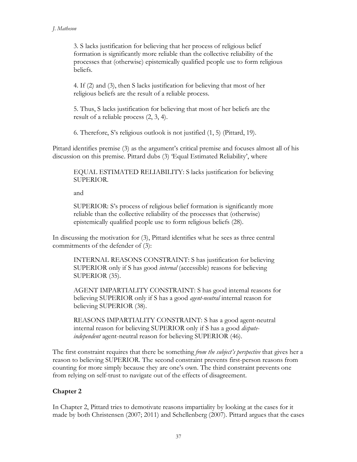3. S lacks justification for believing that her process of religious belief formation is significantly more reliable than the collective reliability of the processes that (otherwise) epistemically qualified people use to form religious beliefs.

4. If (2) and (3), then S lacks justification for believing that most of her religious beliefs are the result of a reliable process.

5. Thus, S lacks justification for believing that most of her beliefs are the result of a reliable process (2, 3, 4).

6. Therefore, S's religious outlook is not justified (1, 5) (Pittard, 19).

Pittard identifies premise (3) as the argument's critical premise and focuses almost all of his discussion on this premise. Pittard dubs (3) 'Equal Estimated Reliability', where

EQUAL ESTIMATED RELIABILITY: S lacks justification for believing SUPERIOR.

and

SUPERIOR: S's process of religious belief formation is significantly more reliable than the collective reliability of the processes that (otherwise) epistemically qualified people use to form religious beliefs (28).

In discussing the motivation for (3), Pittard identifies what he sees as three central commitments of the defender of (3):

INTERNAL REASONS CONSTRAINT: S has justification for believing SUPERIOR only if S has good *internal* (accessible) reasons for believing SUPERIOR (35).

AGENT IMPARTIALITY CONSTRAINT: S has good internal reasons for believing SUPERIOR only if S has a good *agent-neutral* internal reason for believing SUPERIOR (38).

REASONS IMPARTIALITY CONSTRAINT: S has a good agent-neutral internal reason for believing SUPERIOR only if S has a good *disputeindependent* agent-neutral reason for believing SUPERIOR (46).

The first constraint requires that there be something *from the subject's perspective* that gives her a reason to believing SUPERIOR. The second constraint prevents first-person reasons from counting for more simply because they are one's own. The third constraint prevents one from relying on self-trust to navigate out of the effects of disagreement.

# **Chapter 2**

In Chapter 2, Pittard tries to demotivate reasons impartiality by looking at the cases for it made by both Christensen (2007; 2011) and Schellenberg (2007). Pittard argues that the cases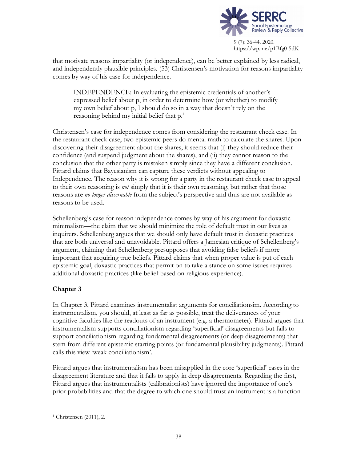

that motivate reasons impartiality (or independence), can be better explained by less radical, and independently plausible principles. (53) Christensen's motivation for reasons impartiality comes by way of his case for independence.

INDEPENDENCE: In evaluating the epistemic credentials of another's expressed belief about p, in order to determine how (or whether) to modify my own belief about p, I should do so in a way that doesn't rely on the reasoning behind my initial belief that p.<sup>1</sup>

Christensen's case for independence comes from considering the restaurant check case. In the restaurant check case, two epistemic peers do mental math to calculate the shares. Upon discovering their disagreement about the shares, it seems that (i) they should reduce their confidence (and suspend judgment about the shares), and (ii) they cannot reason to the conclusion that the other party is mistaken simply since they have a different conclusion. Pittard claims that Bayesianism can capture these verdicts without appealing to Independence. The reason why it is wrong for a party in the restaurant check case to appeal to their own reasoning is *not* simply that it is their own reasoning, but rather that those reasons are *no longer discernable* from the subject's perspective and thus are not available as reasons to be used.

Schellenberg's case for reason independence comes by way of his argument for doxastic minimalism—the claim that we should minimize the role of default trust in our lives as inquirers. Schellenberg argues that we should only have default trust in doxastic practices that are both universal and unavoidable. Pittard offers a Jamesian critique of Schellenberg's argument, claiming that Schellenberg presupposes that avoiding false beliefs if more important that acquiring true beliefs. Pittard claims that when proper value is put of each epistemic goal, doxastic practices that permit on to take a stance on some issues requires additional doxastic practices (like belief based on religious experience).

# **Chapter 3**

In Chapter 3, Pittard examines instrumentalist arguments for conciliationsim. According to instrumentalism, you should, at least as far as possible, treat the deliverances of your cognitive faculties like the readouts of an instrument (e.g. a thermometer). Pittard argues that instrumentalism supports conciliationism regarding 'superficial' disagreements but fails to support conciliationism regarding fundamental disagreements (or deep disagreements) that stem from different epistemic starting points (or fundamental plausibility judgments). Pittard calls this view 'weak conciliationism'.

Pittard argues that instrumentalism has been misapplied in the core 'superficial' cases in the disagreement literature and that it fails to apply in deep disagreements. Regarding the first, Pittard argues that instrumentalists (calibrationists) have ignored the importance of one's prior probabilities and that the degree to which one should trust an instrument is a function

 <sup>1</sup> Christensen (2011), 2.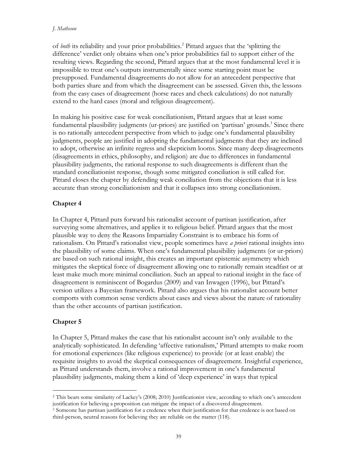### *J. Matheson*

of *both* its reliability and your prior probabilities.2 Pittard argues that the 'splitting the difference' verdict only obtains when one's prior probabilities fail to support either of the resulting views. Regarding the second, Pittard argues that at the most fundamental level it is impossible to treat one's outputs instrumentally since some starting point must be presupposed. Fundamental disagreements do not allow for an antecedent perspective that both parties share and from which the disagreement can be assessed. Given this, the lessons from the easy cases of disagreement (horse races and check calculations) do not naturally extend to the hard cases (moral and religious disagreement).

In making his positive case for weak conciliationism, Pittard argues that at least some fundamental plausibility judgments (ur-priors) are justified on 'partisan' grounds.<sup>3</sup> Since there is no rationally antecedent perspective from which to judge one's fundamental plausibility judgments, people are justified in adopting the fundamental judgments that they are inclined to adopt, otherwise an infinite regress and skepticism looms. Since many deep disagreements (disagreements in ethics, philosophy, and religion) are due to differences in fundamental plausibility judgments, the rational response to such disagreements is different than the standard conciliationist response, though some mitigated conciliation is still called for. Pittard closes the chapter by defending weak conciliation from the objections that it is less accurate than strong conciliationism and that it collapses into strong conciliationism.

# **Chapter 4**

In Chapter 4, Pittard puts forward his rationalist account of partisan justification, after surveying some alternatives, and applies it to religious belief. Pittard argues that the most plausible way to deny the Reasons Impartiality Constraint is to embrace his form of rationalism. On Pittard's rationalist view, people sometimes have *a priori* rational insights into the plausibility of some claims. When one's fundamental plausibility judgments (or ur-priors) are based on such rational insight, this creates an important epistemic asymmetry which mitigates the skeptical force of disagreement allowing one to rationally remain steadfast or at least make much more minimal conciliation. Such an appeal to rational insight in the face of disagreement is reminiscent of Bogardus (2009) and van Inwagen (1996), but Pittard's version utilizes a Bayesian framework. Pittard also argues that his rationalist account better comports with common sense verdicts about cases and views about the nature of rationality than the other accounts of partisan justification.

# **Chapter 5**

In Chapter 5, Pittard makes the case that his rationalist account isn't only available to the analytically sophisticated. In defending 'affective rationalism,' Pittard attempts to make room for emotional experiences (like religious experience) to provide (or at least enable) the requisite insights to avoid the skeptical consequences of disagreement. Insightful experience, as Pittard understands them, involve a rational improvement in one's fundamental plausibility judgments, making them a kind of 'deep experience' in ways that typical

 <sup>2</sup> This bears some similarity of Lackey's (2008; 2010) Justificationist view, according to which one's antecedent justification for believing a proposition can mitigate the impact of a discovered disagreement. 3 Someone has partisan justification for a credence when their justification for that credence is not based on

third-person, neutral reasons for believing they are reliable on the matter (118).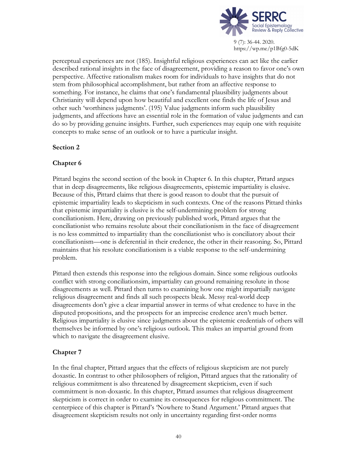

perceptual experiences are not (185). Insightful religious experiences can act like the earlier described rational insights in the face of disagreement, providing a reason to favor one's own perspective. Affective rationalism makes room for individuals to have insights that do not stem from philosophical accomplishment, but rather from an affective response to something. For instance, he claims that one's fundamental plausibility judgments about Christianity will depend upon how beautiful and excellent one finds the life of Jesus and other such 'worthiness judgments'. (195) Value judgments inform such plausibility judgments, and affections have an essential role in the formation of value judgments and can do so by providing genuine insights. Further, such experiences may equip one with requisite concepts to make sense of an outlook or to have a particular insight.

## **Section 2**

## **Chapter 6**

Pittard begins the second section of the book in Chapter 6. In this chapter, Pittard argues that in deep disagreements, like religious disagreements, epistemic impartiality is elusive. Because of this, Pittard claims that there is good reason to doubt that the pursuit of epistemic impartiality leads to skepticism in such contexts. One of the reasons Pittard thinks that epistemic impartiality is elusive is the self-undermining problem for strong conciliationism. Here, drawing on previously published work, Pittard argues that the conciliationist who remains resolute about their conciliationism in the face of disagreement is no less committed to impartiality than the conciliationist who is conciliatory about their conciliationism—one is deferential in their credence, the other in their reasoning. So, Pittard maintains that his resolute conciliationism is a viable response to the self-undermining problem.

Pittard then extends this response into the religious domain. Since some religious outlooks conflict with strong conciliationsim, impartiality can ground remaining resolute in those disagreements as well. Pittard then turns to examining how one might impartially navigate religious disagreement and finds all such prospects bleak. Messy real-world deep disagreements don't give a clear impartial answer in terms of what credence to have in the disputed propositions, and the prospects for an imprecise credence aren't much better. Religious impartiality is elusive since judgments about the epistemic credentials of others will themselves be informed by one's religious outlook. This makes an impartial ground from which to navigate the disagreement elusive.

## **Chapter 7**

In the final chapter, Pittard argues that the effects of religious skepticism are not purely doxastic. In contrast to other philosophers of religion, Pittard argues that the rationality of religious commitment is also threatened by disagreement skepticism, even if such commitment is non-doxastic. In this chapter, Pittard assumes that religious disagreement skepticism is correct in order to examine its consequences for religious commitment. The centerpiece of this chapter is Pittard's 'Nowhere to Stand Argument.' Pittard argues that disagreement skepticism results not only in uncertainty regarding first-order norms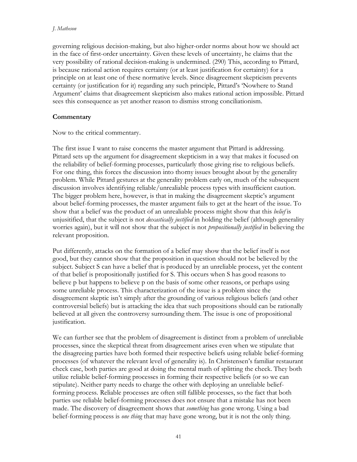#### *J. Matheson*

governing religious decision-making, but also higher-order norms about how we should act in the face of first-order uncertainty. Given these levels of uncertainty, he claims that the very possibility of rational decision-making is undermined. (290) This, according to Pittard, is because rational action requires certainty (or at least justification for certainty) for a principle on at least one of these normative levels. Since disagreement skepticism prevents certainty (or justification for it) regarding any such principle, Pittard's 'Nowhere to Stand Argument' claims that disagreement skepticism also makes rational action impossible. Pittard sees this consequence as yet another reason to dismiss strong conciliationism.

## **Commentary**

Now to the critical commentary.

The first issue I want to raise concerns the master argument that Pittard is addressing. Pittard sets up the argument for disagreement skepticism in a way that makes it focused on the reliability of belief-forming processes, particularly those giving rise to religious beliefs. For one thing, this forces the discussion into thorny issues brought about by the generality problem. While Pittard gestures at the generality problem early on, much of the subsequent discussion involves identifying reliable/unrealiable process types with insufficient caution. The bigger problem here, however, is that in making the disagreement skeptic's argument about belief-forming processes, the master argument fails to get at the heart of the issue. To show that a belief was the product of an unrealiable process might show that this *belief* is unjusitified, that the subject is not *doxastically justified* in holding the belief (although generality worries again), but it will not show that the subject is not *propositionally justified* in believing the relevant proposition.

Put differently, attacks on the formation of a belief may show that the belief itself is not good, but they cannot show that the proposition in question should not be believed by the subject. Subject S can have a belief that is produced by an unreliable process, yet the content of that belief is propositionally justified for S. This occurs when S has good reasons to believe p but happens to believe p on the basis of some other reasons, or perhaps using some unreliable process. This characterization of the issue is a problem since the disagreement skeptic isn't simply after the grounding of various religious beliefs (and other controversial beliefs) but is attacking the idea that such propositions should can be rationally believed at all given the controversy surrounding them. The issue is one of propositional justification.

We can further see that the problem of disagreement is distinct from a problem of unreliable processes, since the skeptical threat from disagreement arises even when we stipulate that the disagreeing parties have both formed their respective beliefs using reliable belief-forming processes (of whatever the relevant level of generality is). In Christensen's familiar restaurant check case, both parties are good at doing the mental math of splitting the check. They both utilize reliable belief-forming processes in forming their respective beliefs (or so we can stipulate). Neither party needs to charge the other with deploying an unreliable beliefforming process. Reliable processes are often still fallible processes, so the fact that both parties use reliable belief-forming processes does not ensure that a mistake has not been made. The discovery of disagreement shows that *something* has gone wrong. Using a bad belief-forming process is *one thing* that may have gone wrong, but it is not the only thing.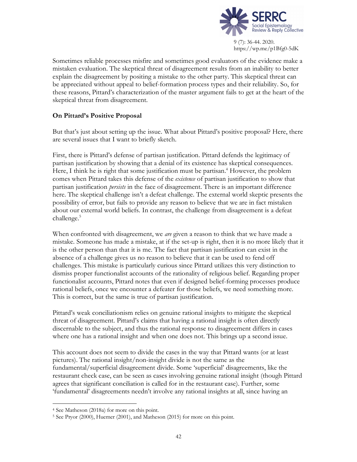

Sometimes reliable processes misfire and sometimes good evaluators of the evidence make a mistaken evaluation. The skeptical threat of disagreement results from an inability to better explain the disagreement by positing a mistake to the other party. This skeptical threat can be appreciated without appeal to belief-formation process types and their reliability. So, for these reasons, Pittard's characterization of the master argument fails to get at the heart of the skeptical threat from disagreement.

## **On Pittard's Positive Proposal**

But that's just about setting up the issue. What about Pittard's positive proposal? Here, there are several issues that I want to briefly sketch.

First, there is Pittard's defense of partisan justification. Pittard defends the legitimacy of partisan justification by showing that a denial of its existence has skeptical consequences. Here, I think he is right that some justification must be partisan.<sup>4</sup> However, the problem comes when Pittard takes this defense of the *existence* of partisan justification to show that partisan justification *persists* in the face of disagreement. There is an important difference here. The skeptical challenge isn't a defeat challenge. The external world skeptic presents the possibility of error, but fails to provide any reason to believe that we are in fact mistaken about our external world beliefs. In contrast, the challenge from disagreement is a defeat challenge.<sup>5</sup>

When confronted with disagreement, we *are* given a reason to think that we have made a mistake. Someone has made a mistake, at if the set-up is right, then it is no more likely that it is the other person than that it is me. The fact that partisan justification can exist in the absence of a challenge gives us no reason to believe that it can be used to fend off challenges. This mistake is particularly curious since Pittard utilizes this very distinction to dismiss proper functionalist accounts of the rationality of religious belief. Regarding proper functionalist accounts, Pittard notes that even if designed belief-forming processes produce rational beliefs, once we encounter a defeater for those beliefs, we need something more. This is correct, but the same is true of partisan justification.

Pittard's weak conciliationism relies on genuine rational insights to mitigate the skeptical threat of disagreement. Pittard's claims that having a rational insight is often directly discernable to the subject, and thus the rational response to disagreement differs in cases where one has a rational insight and when one does not. This brings up a second issue.

This account does not seem to divide the cases in the way that Pittard wants (or at least pictures). The rational insight/non-insight divide is not the same as the fundamental/superficial disagreement divide. Some 'superficial' disagreements, like the restaurant check case, can be seen as cases involving genuine rational insight (though Pittard agrees that significant conciliation is called for in the restaurant case). Further, some 'fundamental' disagreements needn't involve any rational insights at all, since having an

 <sup>4</sup> See Matheson (2018a) for more on this point.

<sup>5</sup> See Pryor (2000), Huemer (2001), and Matheson (2015) for more on this point.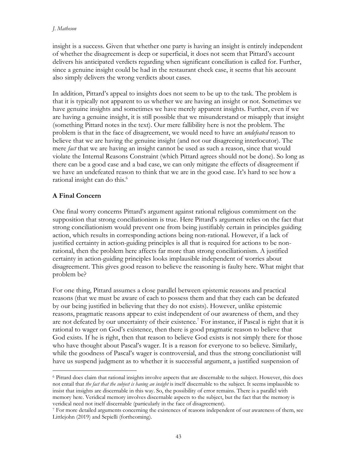### *J. Matheson*

insight is a success. Given that whether one party is having an insight is entirely independent of whether the disagreement is deep or superficial, it does not seem that Pittard's account delivers his anticipated verdicts regarding when significant conciliation is called for. Further, since a genuine insight could be had in the restaurant check case, it seems that his account also simply delivers the wrong verdicts about cases.

In addition, Pittard's appeal to insights does not seem to be up to the task. The problem is that it is typically not apparent to us whether we are having an insight or not. Sometimes we have genuine insights and sometimes we have merely apparent insights. Further, even if we are having a genuine insight, it is still possible that we misunderstand or misapply that insight (something Pittard notes in the text). Our mere fallibility here is not the problem. The problem is that in the face of disagreement, we would need to have an *undefeated* reason to believe that we are having the genuine insight (and not our disagreeing interlocutor). The mere *fact* that we are having an insight cannot be used as such a reason, since that would violate the Internal Reasons Constraint (which Pittard agrees should not be done). So long as there can be a good case and a bad case, we can only mitigate the effects of disagreement if we have an undefeated reason to think that we are in the good case. It's hard to see how a rational insight can do this.<sup>6</sup>

# **A Final Concern**

One final worry concerns Pittard's argument against rational religious commitment on the supposition that strong conciliationism is true. Here Pittard's argument relies on the fact that strong conciliationism would prevent one from being justifiably certain in principles guiding action, which results in corresponding actions being non-rational. However, if a lack of justified certainty in action-guiding principles is all that is required for actions to be nonrational, then the problem here affects far more than strong conciliationism. A justified certainty in action-guiding principles looks implausible independent of worries about disagreement. This gives good reason to believe the reasoning is faulty here. What might that problem be?

For one thing, Pittard assumes a close parallel between epistemic reasons and practical reasons (that we must be aware of each to possess them and that they each can be defeated by our being justified in believing that they do not exists). However, unlike epistemic reasons, pragmatic reasons appear to exist independent of our awareness of them, and they are not defeated by our uncertainty of their existence.<sup>7</sup> For instance, if Pascal is right that it is rational to wager on God's existence, then there is good pragmatic reason to believe that God exists. If he is right, then that reason to believe God exists is not simply there for those who have thought about Pascal's wager. It is a reason for everyone to so believe. Similarly, while the goodness of Pascal's wager is controversial, and thus the strong conciliationist will have us suspend judgment as to whether it is successful argument, a justified suspension of

 <sup>6</sup> Pittard does claim that rational insights involve aspects that are discernable to the subject. However, this does not entail that *the fact that the subject is having an insight* is itself discernable to the subject. It seems implausible to insist that insights are discernable in this way. So, the possibility of error remains. There is a parallel with memory here. Veridical memory involves discernable aspects to the subject, but the fact that the memory is veridical need not itself discernable (particularly in the face of disagreement).

<sup>7</sup> For more detailed arguments concerning the existences of reasons independent of our awareness of them, see Littlejohn (2019) and Sepielli (forthcoming).